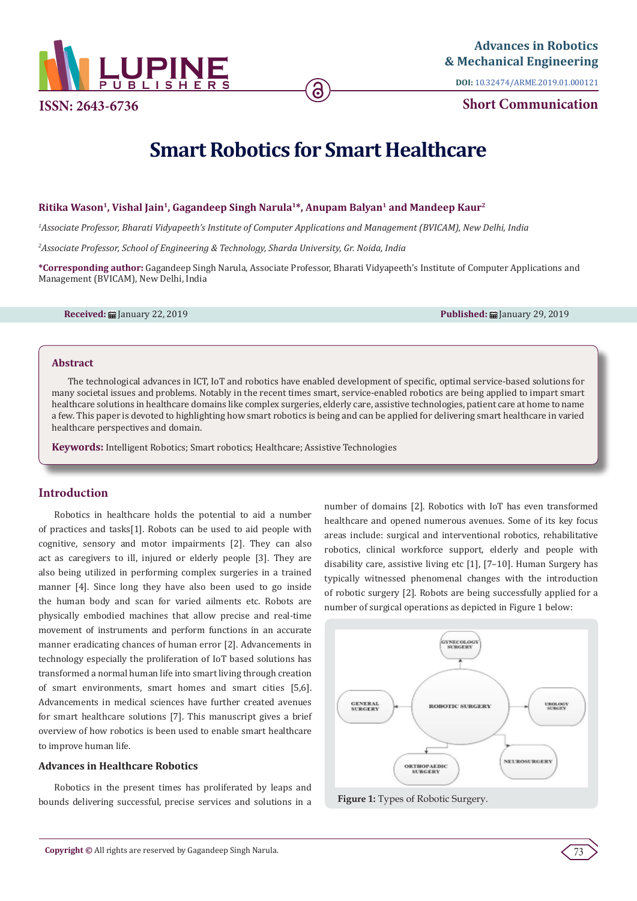

**ISSN: 2643-6736**

**DOI:** [10.32474/ARME.2019.01.000121](http://dx.doi.org/10.32474/ARME.2019.01.000121)

**Short Communication**

# **Smart Robotics for Smart Healthcare**

ခ

## **Ritika Wason1, Vishal Jain1, Gagandeep Singh Narula1\*, Anupam Balyan1 and Mandeep Kaur2**

*1 Associate Professor, Bharati Vidyapeeth's Institute of Computer Applications and Management (BVICAM), New Delhi, India*

*2 Associate Professor, School of Engineering & Technology, Sharda University, Gr. Noida, India*

**\*Corresponding author:** Gagandeep Singh Narula, Associate Professor, Bharati Vidyapeeth's Institute of Computer Applications and Management (BVICAM), New Delhi, India

**Received:** January 22, 2019 **Published:** January 29, 2019

#### **Abstract**

The technological advances in ICT, IoT and robotics have enabled development of specific, optimal service-based solutions for many societal issues and problems. Notably in the recent times smart, service-enabled robotics are being applied to impart smart healthcare solutions in healthcare domains like complex surgeries, elderly care, assistive technologies, patient care at home to name a few. This paper is devoted to highlighting how smart robotics is being and can be applied for delivering smart healthcare in varied healthcare perspectives and domain.

**Keywords:** Intelligent Robotics; Smart robotics; Healthcare; Assistive Technologies

# **Introduction**

Robotics in healthcare holds the potential to aid a number of practices and tasks[1]. Robots can be used to aid people with cognitive, sensory and motor impairments [2]. They can also act as caregivers to ill, injured or elderly people [3]. They are also being utilized in performing complex surgeries in a trained manner [4]. Since long they have also been used to go inside the human body and scan for varied ailments etc. Robots are physically embodied machines that allow precise and real-time movement of instruments and perform functions in an accurate manner eradicating chances of human error [2]. Advancements in technology especially the proliferation of IoT based solutions has transformed a normal human life into smart living through creation of smart environments, smart homes and smart cities [5,6]. Advancements in medical sciences have further created avenues for smart healthcare solutions [7]. This manuscript gives a brief overview of how robotics is been used to enable smart healthcare to improve human life.

## **Advances in Healthcare Robotics**

Robotics in the present times has proliferated by leaps and bounds delivering successful, precise services and solutions in a number of domains [2]. Robotics with IoT has even transformed healthcare and opened numerous avenues. Some of its key focus areas include: surgical and interventional robotics, rehabilitative robotics, clinical workforce support, elderly and people with disability care, assistive living etc [1], [7–10]. Human Surgery has typically witnessed phenomenal changes with the introduction of robotic surgery [2]. Robots are being successfully applied for a number of surgical operations as depicted in Figure 1 below:



**Figure 1:** Types of Robotic Surgery.